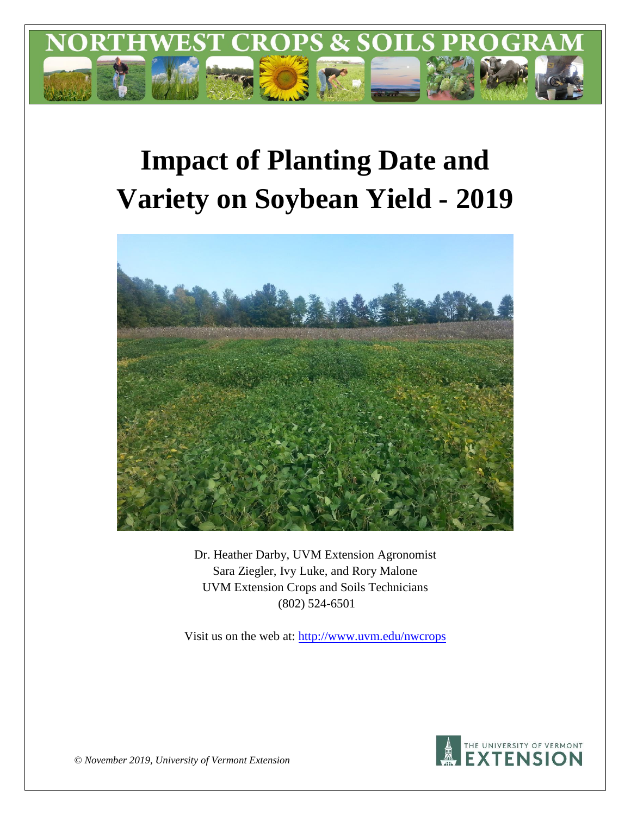

# **Impact of Planting Date and Variety on Soybean Yield - 2019**



Dr. Heather Darby, UVM Extension Agronomist Sara Ziegler, Ivy Luke, and Rory Malone UVM Extension Crops and Soils Technicians (802) 524-6501

Visit us on the web at: <http://www.uvm.edu/nwcrops>



*© November 2019, University of Vermont Extension*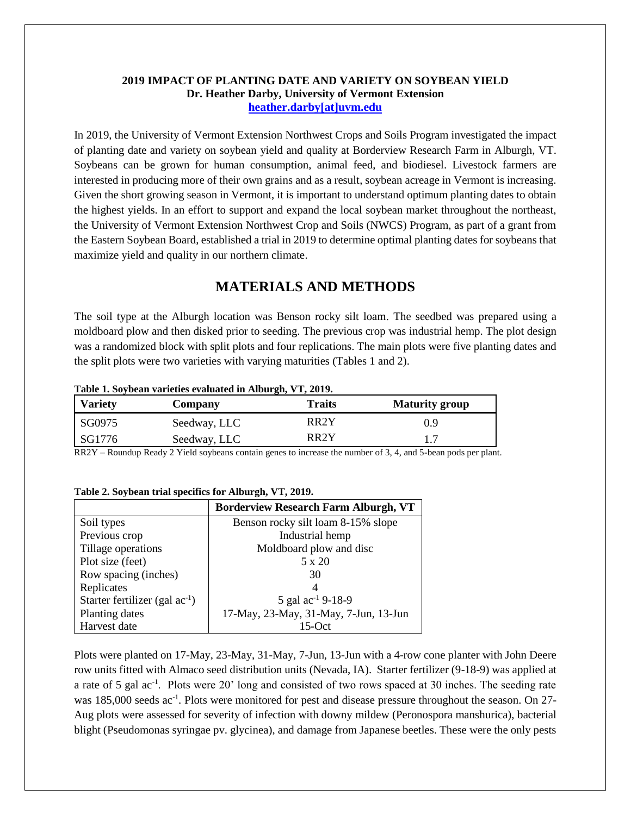## **2019 IMPACT OF PLANTING DATE AND VARIETY ON SOYBEAN YIELD Dr. Heather Darby, University of Vermont Extension [heather.darby\[at\]uvm.edu](mailto:heather.darby@uvm.edu?subject=2012%20Short%20Season%20Corn%20Report)**

In 2019, the University of Vermont Extension Northwest Crops and Soils Program investigated the impact of planting date and variety on soybean yield and quality at Borderview Research Farm in Alburgh, VT. Soybeans can be grown for human consumption, animal feed, and biodiesel. Livestock farmers are interested in producing more of their own grains and as a result, soybean acreage in Vermont is increasing. Given the short growing season in Vermont, it is important to understand optimum planting dates to obtain the highest yields. In an effort to support and expand the local soybean market throughout the northeast, the University of Vermont Extension Northwest Crop and Soils (NWCS) Program, as part of a grant from the Eastern Soybean Board, established a trial in 2019 to determine optimal planting dates for soybeans that maximize yield and quality in our northern climate.

# **MATERIALS AND METHODS**

The soil type at the Alburgh location was Benson rocky silt loam. The seedbed was prepared using a moldboard plow and then disked prior to seeding. The previous crop was industrial hemp. The plot design was a randomized block with split plots and four replications. The main plots were five planting dates and the split plots were two varieties with varying maturities (Tables 1 and 2).

#### **Table 1. Soybean varieties evaluated in Alburgh, VT, 2019.**

| <b>Variety</b> | Company      | <b>Traits</b>     | <b>Maturity group</b> |
|----------------|--------------|-------------------|-----------------------|
| SG0975         | Seedway, LLC | RR2Y              | 09                    |
| SG1776         | Seedway, LLC | RR <sub>2</sub> Y |                       |

RR2Y – Roundup Ready 2 Yield soybeans contain genes to increase the number of 3, 4, and 5-bean pods per plant.

|                                     | <b>Borderview Research Farm Alburgh, VT</b> |  |  |  |
|-------------------------------------|---------------------------------------------|--|--|--|
| Soil types                          | Benson rocky silt loam 8-15% slope          |  |  |  |
| Previous crop                       | Industrial hemp                             |  |  |  |
| Tillage operations                  | Moldboard plow and disc                     |  |  |  |
| Plot size (feet)                    | 5 x 20                                      |  |  |  |
| Row spacing (inches)                | 30                                          |  |  |  |
| Replicates                          | 4                                           |  |  |  |
| Starter fertilizer (gal $ac^{-1}$ ) | 5 gal $ac^{-1}$ 9-18-9                      |  |  |  |
| Planting dates                      | 17-May, 23-May, 31-May, 7-Jun, 13-Jun       |  |  |  |
| Harvest date                        | 15- $Oct$                                   |  |  |  |

#### **Table 2. Soybean trial specifics for Alburgh, VT, 2019.**

Plots were planted on 17-May, 23-May, 31-May, 7-Jun, 13-Jun with a 4-row cone planter with John Deere row units fitted with Almaco seed distribution units (Nevada, IA). Starter fertilizer (9-18-9) was applied at a rate of 5 gal ac<sup>-1</sup>. Plots were 20' long and consisted of two rows spaced at 30 inches. The seeding rate was 185,000 seeds ac<sup>-1</sup>. Plots were monitored for pest and disease pressure throughout the season. On 27-Aug plots were assessed for severity of infection with downy mildew (Peronospora manshurica), bacterial blight (Pseudomonas syringae pv. glycinea), and damage from Japanese beetles. These were the only pests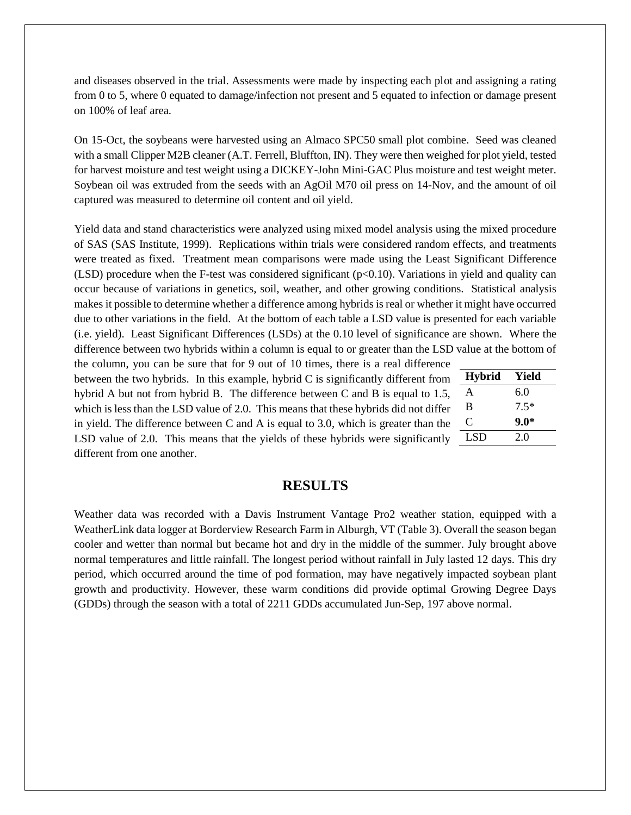and diseases observed in the trial. Assessments were made by inspecting each plot and assigning a rating from 0 to 5, where 0 equated to damage/infection not present and 5 equated to infection or damage present on 100% of leaf area.

On 15-Oct, the soybeans were harvested using an Almaco SPC50 small plot combine. Seed was cleaned with a small Clipper M2B cleaner (A.T. Ferrell, Bluffton, IN). They were then weighed for plot yield, tested for harvest moisture and test weight using a DICKEY-John Mini-GAC Plus moisture and test weight meter. Soybean oil was extruded from the seeds with an AgOil M70 oil press on 14-Nov, and the amount of oil captured was measured to determine oil content and oil yield.

Yield data and stand characteristics were analyzed using mixed model analysis using the mixed procedure of SAS (SAS Institute, 1999). Replications within trials were considered random effects, and treatments were treated as fixed. Treatment mean comparisons were made using the Least Significant Difference (LSD) procedure when the F-test was considered significant ( $p<0.10$ ). Variations in yield and quality can occur because of variations in genetics, soil, weather, and other growing conditions. Statistical analysis makes it possible to determine whether a difference among hybrids is real or whether it might have occurred due to other variations in the field. At the bottom of each table a LSD value is presented for each variable (i.e. yield). Least Significant Differences (LSDs) at the 0.10 level of significance are shown. Where the difference between two hybrids within a column is equal to or greater than the LSD value at the bottom of

the column, you can be sure that for 9 out of 10 times, there is a real difference between the two hybrids. In this example, hybrid C is significantly different from hybrid A but not from hybrid B. The difference between C and B is equal to 1.5, which is less than the LSD value of 2.0. This means that these hybrids did not differ in yield. The difference between C and A is equal to 3.0, which is greater than the LSD value of 2.0. This means that the yields of these hybrids were significantly different from one another.

| <b>Hybrid</b> | Yield  |
|---------------|--------|
| A             | 6.0    |
| B             | $7.5*$ |
| ⊖             | $9.0*$ |
| LSD           | 2.0    |

## **RESULTS**

Weather data was recorded with a Davis Instrument Vantage Pro2 weather station, equipped with a WeatherLink data logger at Borderview Research Farm in Alburgh, VT (Table 3). Overall the season began cooler and wetter than normal but became hot and dry in the middle of the summer. July brought above normal temperatures and little rainfall. The longest period without rainfall in July lasted 12 days. This dry period, which occurred around the time of pod formation, may have negatively impacted soybean plant growth and productivity. However, these warm conditions did provide optimal Growing Degree Days (GDDs) through the season with a total of 2211 GDDs accumulated Jun-Sep, 197 above normal.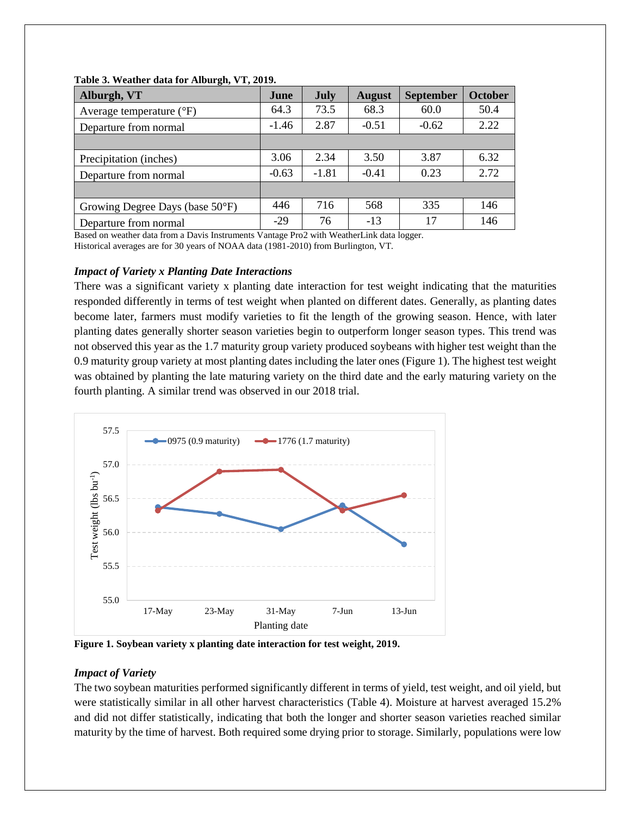| Alburgh, VT                         | June    | July    | <b>August</b> | <b>September</b> | <b>October</b> |
|-------------------------------------|---------|---------|---------------|------------------|----------------|
| Average temperature $({}^{\circ}F)$ | 64.3    | 73.5    | 68.3          | 60.0             | 50.4           |
| Departure from normal               | $-1.46$ | 2.87    | $-0.51$       | $-0.62$          | 2.22           |
|                                     |         |         |               |                  |                |
| Precipitation (inches)              | 3.06    | 2.34    | 3.50          | 3.87             | 6.32           |
| Departure from normal               | $-0.63$ | $-1.81$ | $-0.41$       | 0.23             | 2.72           |
|                                     |         |         |               |                  |                |
| Growing Degree Days (base 50°F)     | 446     | 716     | 568           | 335              | 146            |
| Departure from normal               | $-29$   | 76      | $-13$         | 17               | 146            |

#### **Table 3. Weather data for Alburgh, VT, 2019.**

Based on weather data from a Davis Instruments Vantage Pro2 with WeatherLink data logger. Historical averages are for 30 years of NOAA data (1981-2010) from Burlington, VT.

## *Impact of Variety x Planting Date Interactions*

There was a significant variety x planting date interaction for test weight indicating that the maturities responded differently in terms of test weight when planted on different dates. Generally, as planting dates become later, farmers must modify varieties to fit the length of the growing season. Hence, with later planting dates generally shorter season varieties begin to outperform longer season types. This trend was not observed this year as the 1.7 maturity group variety produced soybeans with higher test weight than the 0.9 maturity group variety at most planting dates including the later ones (Figure 1). The highest test weight was obtained by planting the late maturing variety on the third date and the early maturing variety on the fourth planting. A similar trend was observed in our 2018 trial.



**Figure 1. Soybean variety x planting date interaction for test weight, 2019.**

## *Impact of Variety*

The two soybean maturities performed significantly different in terms of yield, test weight, and oil yield, but were statistically similar in all other harvest characteristics (Table 4). Moisture at harvest averaged 15.2% and did not differ statistically, indicating that both the longer and shorter season varieties reached similar maturity by the time of harvest. Both required some drying prior to storage. Similarly, populations were low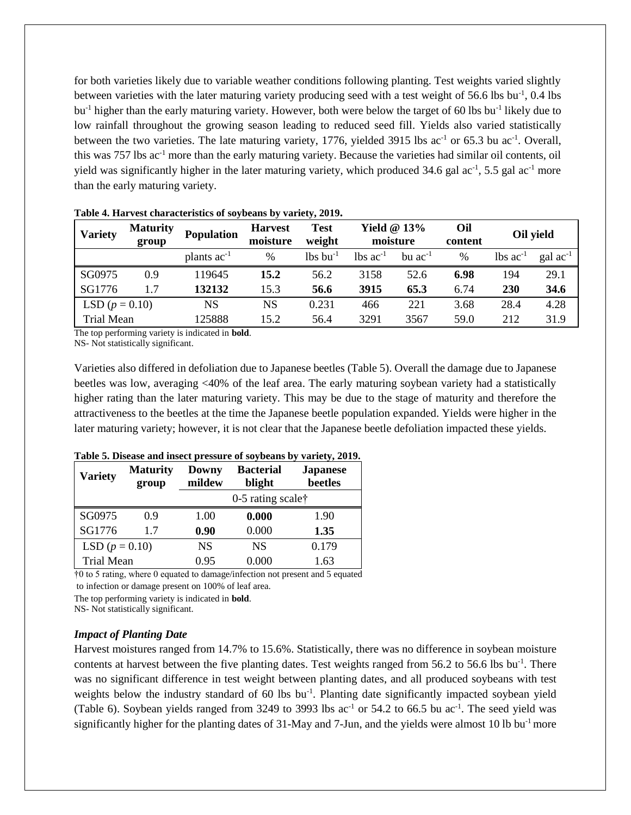for both varieties likely due to variable weather conditions following planting. Test weights varied slightly between varieties with the later maturing variety producing seed with a test weight of 56.6 lbs bu<sup>-1</sup>, 0.4 lbs bu<sup>-1</sup> higher than the early maturing variety. However, both were below the target of 60 lbs bu<sup>-1</sup> likely due to low rainfall throughout the growing season leading to reduced seed fill. Yields also varied statistically between the two varieties. The late maturing variety, 1776, yielded 3915 lbs ac<sup>-1</sup> or 65.3 bu ac<sup>-1</sup>. Overall, this was 757 lbs ac-1 more than the early maturing variety. Because the varieties had similar oil contents, oil yield was significantly higher in the later maturing variety, which produced  $34.6$  gal ac<sup>-1</sup>,  $5.5$  gal ac<sup>-1</sup> more than the early maturing variety.

| <b>Variety</b>    | <b>Maturity</b><br>group | <b>Population</b> | <b>Harvest</b><br>moisture | <b>Test</b><br>weight  | Yield $@13\%$<br>moisture |                | Oil<br>content | Oil yield                     |                      |
|-------------------|--------------------------|-------------------|----------------------------|------------------------|---------------------------|----------------|----------------|-------------------------------|----------------------|
|                   |                          | plants $ac^{-1}$  | $\frac{0}{0}$              | $lbs$ bu <sup>-1</sup> | $lbs$ ac <sup>-1</sup>    | $bu$ $ac^{-1}$ | %              | $\text{lbs}$ ac <sup>-1</sup> | $\text{gal ac}^{-1}$ |
| SG0975            | 0.9                      | 119645            | 15.2                       | 56.2                   | 3158                      | 52.6           | 6.98           | 194                           | 29.1                 |
| SG1776            | 1.7                      | 132132            | 15.3                       | 56.6                   | 3915                      | 65.3           | 6.74           | <b>230</b>                    | 34.6                 |
| LSD $(p = 0.10)$  |                          | NS                | NS                         | 0.231                  | 466                       | 221            | 3.68           | 28.4                          | 4.28                 |
| <b>Trial Mean</b> |                          | 125888            | 15.2                       | 56.4                   | 3291                      | 3567           | 59.0           | 212                           | 31.9                 |

**Table 4. Harvest characteristics of soybeans by variety, 2019.**

The top performing variety is indicated in **bold**.

NS- Not statistically significant.

Varieties also differed in defoliation due to Japanese beetles (Table 5). Overall the damage due to Japanese beetles was low, averaging <40% of the leaf area. The early maturing soybean variety had a statistically higher rating than the later maturing variety. This may be due to the stage of maturity and therefore the attractiveness to the beetles at the time the Japanese beetle population expanded. Yields were higher in the later maturing variety; however, it is not clear that the Japanese beetle defoliation impacted these yields.

| <b>Variety</b>    | <b>Maturity</b><br>group | <b>Downy</b><br>mildew | <b>Bacterial</b><br>blight | <b>Japanese</b><br>beetles |  |
|-------------------|--------------------------|------------------------|----------------------------|----------------------------|--|
|                   |                          |                        | 0-5 rating scale†          |                            |  |
| SG0975            | 0.9                      | 1.00                   | 0.000                      | 1.90                       |  |
| SG1776            | 1.7                      | 0.90                   | 0.000                      | 1.35                       |  |
| LSD $(p = 0.10)$  |                          | <b>NS</b>              | <b>NS</b>                  | 0.179                      |  |
| <b>Trial Mean</b> |                          | 0.95                   | 0.000                      | 1.63                       |  |

#### **Table 5. Disease and insect pressure of soybeans by variety, 2019.**

†0 to 5 rating, where 0 equated to damage/infection not present and 5 equated

to infection or damage present on 100% of leaf area.

The top performing variety is indicated in **bold**.

NS- Not statistically significant.

#### *Impact of Planting Date*

Harvest moistures ranged from 14.7% to 15.6%. Statistically, there was no difference in soybean moisture contents at harvest between the five planting dates. Test weights ranged from 56.2 to 56.6 lbs bu<sup>-1</sup>. There was no significant difference in test weight between planting dates, and all produced soybeans with test weights below the industry standard of 60 lbs bu<sup>-1</sup>. Planting date significantly impacted soybean yield (Table 6). Soybean yields ranged from 3249 to 3993 lbs  $ac^{-1}$  or 54.2 to 66.5 bu  $ac^{-1}$ . The seed yield was significantly higher for the planting dates of 31-May and 7-Jun, and the yields were almost 10 lb bu<sup>-1</sup> more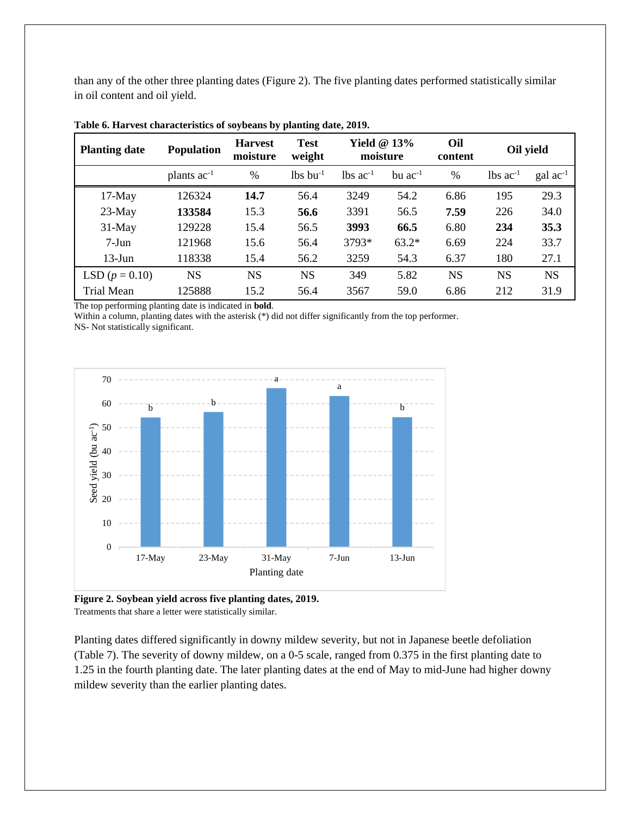than any of the other three planting dates (Figure 2). The five planting dates performed statistically similar in oil content and oil yield.

| <b>Planting date</b> | <b>Population</b> | <b>Harvest</b><br>moisture | <b>Test</b><br>weight  | Yield $@13\%$<br>moisture |                | Oil<br>content | Oil yield              |                      |
|----------------------|-------------------|----------------------------|------------------------|---------------------------|----------------|----------------|------------------------|----------------------|
|                      | plants $ac^{-1}$  | $\frac{0}{0}$              | $lbs$ bu <sup>-1</sup> | $\ln$ s ac <sup>-1</sup>  | $bu$ $ac^{-1}$ | $\frac{0}{0}$  | $lbs$ ac <sup>-1</sup> | $\text{gal ac}^{-1}$ |
| $17-May$             | 126324            | 14.7                       | 56.4                   | 3249                      | 54.2           | 6.86           | 195                    | 29.3                 |
| $23-May$             | 133584            | 15.3                       | 56.6                   | 3391                      | 56.5           | 7.59           | 226                    | 34.0                 |
| $31-May$             | 129228            | 15.4                       | 56.5                   | 3993                      | 66.5           | 6.80           | 234                    | 35.3                 |
| $7-Jun$              | 121968            | 15.6                       | 56.4                   | 3793*                     | $63.2*$        | 6.69           | 224                    | 33.7                 |
| $13$ -Jun            | 118338            | 15.4                       | 56.2                   | 3259                      | 54.3           | 6.37           | 180                    | 27.1                 |
| LSD $(p = 0.10)$     | <b>NS</b>         | <b>NS</b>                  | <b>NS</b>              | 349                       | 5.82           | <b>NS</b>      | <b>NS</b>              | <b>NS</b>            |
| Trial Mean           | 125888            | 15.2                       | 56.4                   | 3567                      | 59.0           | 6.86           | 212                    | 31.9                 |

**Table 6. Harvest characteristics of soybeans by planting date, 2019.**

The top performing planting date is indicated in **bold**.

Within a column, planting dates with the asterisk (\*) did not differ significantly from the top performer.

NS- Not statistically significant.



**Figure 2. Soybean yield across five planting dates, 2019.** Treatments that share a letter were statistically similar.

Planting dates differed significantly in downy mildew severity, but not in Japanese beetle defoliation (Table 7). The severity of downy mildew, on a 0-5 scale, ranged from 0.375 in the first planting date to 1.25 in the fourth planting date. The later planting dates at the end of May to mid-June had higher downy mildew severity than the earlier planting dates.